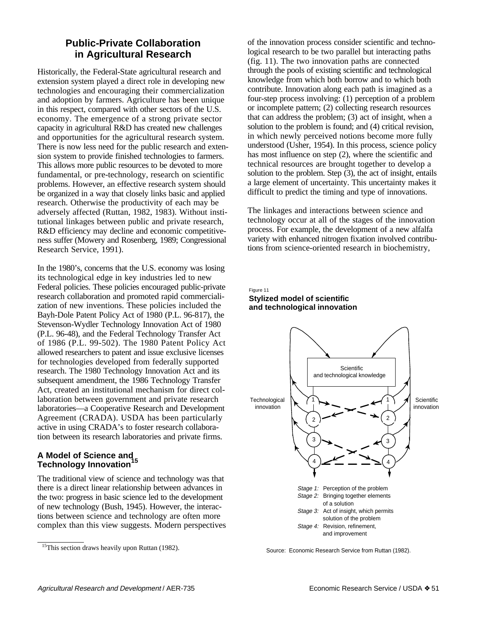# **Public-Private Collaboration in Agricultural Research**

Historically, the Federal-State agricultural research and extension system played a direct role in developing new technologies and encouraging their commercialization and adoption by farmers. Agriculture has been unique in this respect, compared with other sectors of the U.S. economy. The emergence of a strong private sector capacity in agricultural R&D has created new challenges and opportunities for the agricultural research system. There is now less need for the public research and extension system to provide finished technologies to farmers. This allows more public resources to be devoted to more fundamental, or pre-technology, research on scientific problems. However, an effective research system should be organized in a way that closely links basic and applied research. Otherwise the productivity of each may be adversely affected (Ruttan, 1982, 1983). Without institutional linkages between public and private research, R&D efficiency may decline and economic competitiveness suffer (Mowery and Rosenberg, 1989; Congressional Research Service, 1991).

In the 1980's, concerns that the U.S. economy was losing its technological edge in key industries led to new Federal policies. These policies encouraged public-private research collaboration and promoted rapid commercialization of new inventions. These policies included the Bayh-Dole Patent Policy Act of 1980 (P.L. 96-817), the Stevenson-Wydler Technology Innovation Act of 1980 (P.L. 96-48), and the Federal Technology Transfer Act of 1986 (P.L. 99-502). The 1980 Patent Policy Act allowed researchers to patent and issue exclusive licenses for technologies developed from federally supported research. The 1980 Technology Innovation Act and its subsequent amendment, the 1986 Technology Transfer Act, created an institutional mechanism for direct collaboration between government and private research laboratories—a Cooperative Research and Development Agreement (CRADA). USDA has been particularly active in using CRADA's to foster research collaboration between its research laboratories and private firms.

# **A Model of Science and Technology Innovation<sup>15</sup>**

The traditional view of science and technology was that there is a direct linear relationship between advances in the two: progress in basic science led to the development of new technology (Bush, 1945). However, the interactions between science and technology are often more complex than this view suggests. Modern perspectives

of the innovation process consider scientific and technological research to be two parallel but interacting paths (fig. 11). The two innovation paths are connected through the pools of existing scientific and technological knowledge from which both borrow and to which both contribute. Innovation along each path is imagined as a four-step process involving: (1) perception of a problem or incomplete pattern; (2) collecting research resources that can address the problem; (3) act of insight, when a solution to the problem is found; and (4) critical revision, in which newly perceived notions become more fully understood (Usher, 1954). In this process, science policy has most influence on step (2), where the scientific and technical resources are brought together to develop a solution to the problem. Step (3), the act of insight, entails a large element of uncertainty. This uncertainty makes it difficult to predict the timing and type of innovations.

The linkages and interactions between science and technology occur at all of the stages of the innovation process. For example, the development of a new alfalfa variety with enhanced nitrogen fixation involved contributions from science-oriented research in biochemistry,

#### Figure 11 **Stylized model of scientific and technological innovation**



Source: Economic Research Service from Ruttan (1982).

 $15$ This section draws heavily upon Ruttan (1982).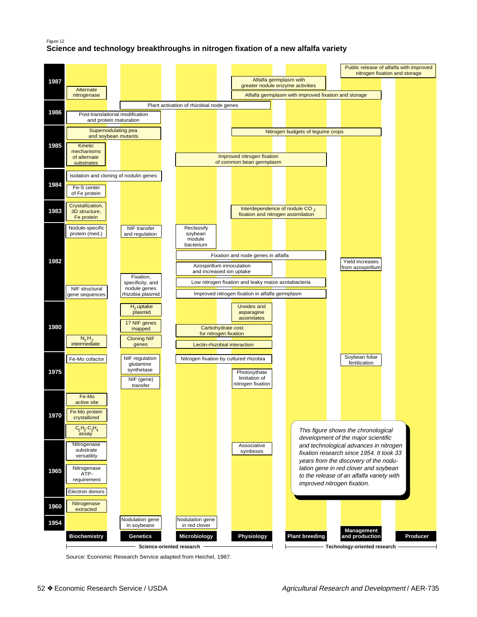#### Figure 12

## **Science and technology breakthroughs in nitrogen fixation of a new alfalfa variety**



Source: Economic Research Service adapted from Heichel, 1987.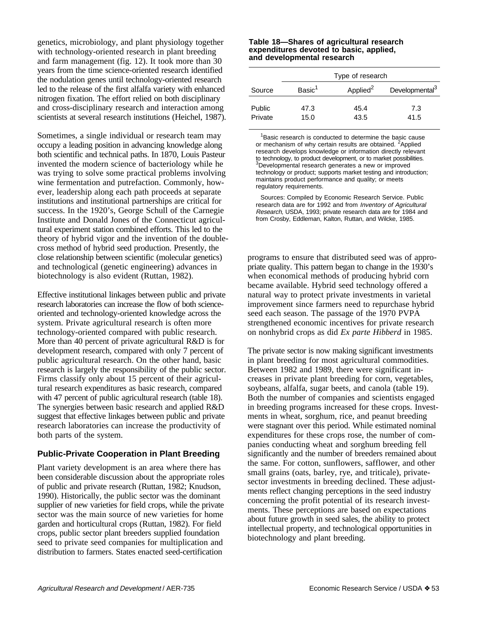genetics, microbiology, and plant physiology together with technology-oriented research in plant breeding and farm management (fig. 12). It took more than 30 years from the time science-oriented research identified the nodulation genes until technology-oriented research led to the release of the first alfalfa variety with enhanced nitrogen fixation. The effort relied on both disciplinary and cross-disciplinary research and interaction among scientists at several research institutions (Heichel, 1987).

Sometimes, a single individual or research team may occupy a leading position in advancing knowledge along both scientific and technical paths. In 1870, Louis Pasteur invented the modern science of bacteriology while he was trying to solve some practical problems involving wine fermentation and putrefaction. Commonly, however, leadership along each path proceeds at separate institutions and institutional partnerships are critical for success. In the 1920's, George Schull of the Carnegie Institute and Donald Jones of the Connecticut agricultural experiment station combined efforts. This led to the theory of hybrid vigor and the invention of the doublecross method of hybrid seed production. Presently, the close relationship between scientific (molecular genetics) and technological (genetic engineering) advances in biotechnology is also evident (Ruttan, 1982).

Effective institutional linkages between public and private research laboratories can increase the flow of both scienceoriented and technology-oriented knowledge across the system. Private agricultural research is often more technology-oriented compared with public research. More than 40 percent of private agricultural R&D is for development research, compared with only 7 percent of public agricultural research. On the other hand, basic research is largely the responsibility of the public sector. Firms classify only about 15 percent of their agricultural research expenditures as basic research, compared with 47 percent of public agricultural research (table 18). The synergies between basic research and applied R&D suggest that effective linkages between public and private research laboratories can increase the productivity of both parts of the system.

## **Public-Private Cooperation in Plant Breeding**

Plant variety development is an area where there has been considerable discussion about the appropriate roles of public and private research (Ruttan, 1982; Knudson, 1990). Historically, the public sector was the dominant supplier of new varieties for field crops, while the private sector was the main source of new varieties for home garden and horticultural crops (Ruttan, 1982). For field crops, public sector plant breeders supplied foundation seed to private seed companies for multiplication and distribution to farmers. States enacted seed-certification

#### **Table 18—Shares of agricultural research expenditures devoted to basic, applied, and developmental research**

|                          | Type of research   |                      |                            |  |  |  |
|--------------------------|--------------------|----------------------|----------------------------|--|--|--|
| Source                   | Basic <sup>1</sup> | Applied <sup>2</sup> | Developmental <sup>3</sup> |  |  |  |
| <b>Public</b><br>Private | 47.3<br>15.0       | 45.4<br>43.5         | 7.3<br>41.5                |  |  |  |

<sup>1</sup>Basic research is conducted to determine the basic cause or mechanism of why certain results are obtained. <sup>2</sup>Applied research develops knowledge or information directly relevant to technology, to product development, or to market possibilities. 3 Developmental research generates a new or improved technology or product; supports market testing and introduction; maintains product performance and quality; or meets regulatory requirements.

Sources: Compiled by Economic Research Service. Public research data are for 1992 and from Inventory of Agricultural Research, USDA, 1993; private research data are for 1984 and from Crosby, Eddleman, Kalton, Ruttan, and Wilcke, 1985.

programs to ensure that distributed seed was of appropriate quality. This pattern began to change in the 1930's when economical methods of producing hybrid corn became available. Hybrid seed technology offered a natural way to protect private investments in varietal improvement since farmers need to repurchase hybrid seed each season. The passage of the 1970 PVPA strengthened economic incentives for private research on nonhybrid crops as did *Ex parte Hibberd* in 1985.

The private sector is now making significant investments in plant breeding for most agricultural commodities. Between 1982 and 1989, there were significant increases in private plant breeding for corn, vegetables, soybeans, alfalfa, sugar beets, and canola (table 19). Both the number of companies and scientists engaged in breeding programs increased for these crops. Investments in wheat, sorghum, rice, and peanut breeding were stagnant over this period. While estimated nominal expenditures for these crops rose, the number of companies conducting wheat and sorghum breeding fell significantly and the number of breeders remained about the same. For cotton, sunflowers, safflower, and other small grains (oats, barley, rye, and triticale), privatesector investments in breeding declined. These adjustments reflect changing perceptions in the seed industry concerning the profit potential of its research investments. These perceptions are based on expectations about future growth in seed sales, the ability to protect intellectual property, and technological opportunities in biotechnology and plant breeding.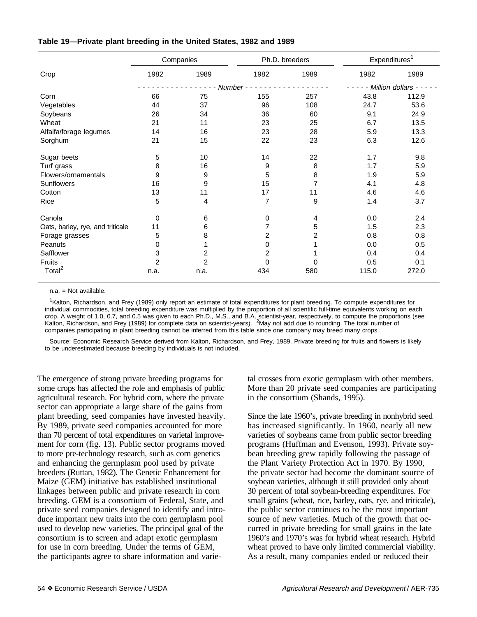|                                  | Companies      |                | Ph.D. breeders          |                     | Expenditures <sup>1</sup> |       |
|----------------------------------|----------------|----------------|-------------------------|---------------------|---------------------------|-------|
| Crop                             | 1982           | 1989           | 1982                    | 1989                | 1982                      | 1989  |
|                                  |                | Number -       |                         | Million dollars - - |                           |       |
| Corn                             | 66             | 75             | 155                     | 257                 | 43.8                      | 112.9 |
| Vegetables                       | 44             | 37             | 96                      | 108                 | 24.7                      | 53.6  |
| Soybeans                         | 26             | 34             | 36                      | 60                  | 9.1                       | 24.9  |
| Wheat                            | 21             | 11             | 23                      | 25                  | 6.7                       | 13.5  |
| Alfalfa/forage legumes           | 14             | 16             | 23                      | 28                  | 5.9                       | 13.3  |
| Sorghum                          | 21             | 15             | 22                      | 23                  | 6.3                       | 12.6  |
| Sugar beets                      | 5              | 10             | 14                      | 22                  | 1.7                       | 9.8   |
| Turf grass                       | 8              | 16             | 9                       | 8                   | 1.7                       | 5.9   |
| Flowers/ornamentals              | 9              | 9              | 5                       | 8                   | 1.9                       | 5.9   |
| Sunflowers                       | 16             | 9              | 15                      | 7                   | 4.1                       | 4.8   |
| Cotton                           | 13             | 11             | 17                      | 11                  | 4.6                       | 4.6   |
| Rice                             | 5              | 4              | 7                       | 9                   | 1.4                       | 3.7   |
| Canola                           | 0              | 6              | 0                       | $\overline{4}$      | 0.0                       | 2.4   |
| Oats, barley, rye, and triticale | 11             | 6              | $\overline{7}$          | 5                   | 1.5                       | 2.3   |
| Forage grasses                   | 5              | 8              | $\overline{\mathbf{c}}$ | $\overline{c}$      | 0.8                       | 0.8   |
| Peanuts                          | 0              |                | 0                       |                     | 0.0                       | 0.5   |
| Safflower                        | 3              | 2              | $\overline{c}$          |                     | 0.4                       | 0.4   |
| Fruits                           | $\overline{2}$ | $\overline{c}$ | $\Omega$                | $\Omega$            | 0.5                       | 0.1   |
| Total $^2$                       | n.a.           | n.a.           | 434                     | 580                 | 115.0                     | 272.0 |

### **Table 19—Private plant breeding in the United States, 1982 and 1989**

n.a. = Not available.

<sup>1</sup>Kalton, Richardson, and Frey (1989) only report an estimate of total expenditures for plant breeding. To compute expenditures for individual commodities, total breeding expenditure was multiplied by the proportion of all scientific full-time equivalents working on each crop. A weight of 1.0, 0.7, and 0.5 was given to each Ph.D., M.S., and B.A. scientist-year, respectively, to compute the proportions (see<br>Kalton, Richardson, and Frey (1989) for complete data on scientist-years). <sup>2</sup>May no companies participating in plant breeding cannot be inferred from this table since one company may breed many crops.

Source: Economic Research Service derived from Kalton, Richardson, and Frey, 1989. Private breeding for fruits and flowers is likely to be underestimated because breeding by individuals is not included.

The emergence of strong private breeding programs for some crops has affected the role and emphasis of public agricultural research. For hybrid corn, where the private sector can appropriate a large share of the gains from plant breeding, seed companies have invested heavily. By 1989, private seed companies accounted for more than 70 percent of total expenditures on varietal improvement for corn (fig. 13). Public sector programs moved to more pre-technology research, such as corn genetics and enhancing the germplasm pool used by private breeders (Ruttan, 1982). The Genetic Enhancement for Maize (GEM) initiative has established institutional linkages between public and private research in corn breeding. GEM is a consortium of Federal, State, and private seed companies designed to identify and introduce important new traits into the corn germplasm pool used to develop new varieties. The principal goal of the consortium is to screen and adapt exotic germplasm for use in corn breeding. Under the terms of GEM, the participants agree to share information and varietal crosses from exotic germplasm with other members. More than 20 private seed companies are participating in the consortium (Shands, 1995).

Since the late 1960's, private breeding in nonhybrid seed has increased significantly. In 1960, nearly all new varieties of soybeans came from public sector breeding programs (Huffman and Evenson, 1993). Private soybean breeding grew rapidly following the passage of the Plant Variety Protection Act in 1970. By 1990, the private sector had become the dominant source of soybean varieties, although it still provided only about 30 percent of total soybean-breeding expenditures. For small grains (wheat, rice, barley, oats, rye, and triticale), the public sector continues to be the most important source of new varieties. Much of the growth that occurred in private breeding for small grains in the late 1960's and 1970's was for hybrid wheat research. Hybrid wheat proved to have only limited commercial viability. As a result, many companies ended or reduced their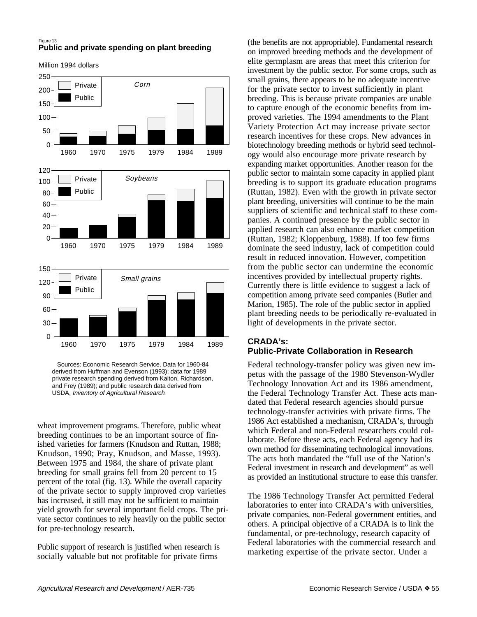#### Figure 13 **Public and private spending on plant breeding**

Million 1994 dollars



 Sources: Economic Research Service. Data for 1960-84 derived from Huffman and Evenson (1993); data for 1989 private research spending derived from Kalton, Richardson, and Frey (1989); and public research data derived from USDA, Inventory of Agricultural Research.

wheat improvement programs. Therefore, public wheat breeding continues to be an important source of finished varieties for farmers (Knudson and Ruttan, 1988; Knudson, 1990; Pray, Knudson, and Masse, 1993). Between 1975 and 1984, the share of private plant breeding for small grains fell from 20 percent to 15 percent of the total (fig. 13). While the overall capacity of the private sector to supply improved crop varieties has increased, it still may not be sufficient to maintain yield growth for several important field crops. The private sector continues to rely heavily on the public sector for pre-technology research.

Public support of research is justified when research is socially valuable but not profitable for private firms

(the benefits are not appropriable). Fundamental research on improved breeding methods and the development of elite germplasm are areas that meet this criterion for investment by the public sector. For some crops, such as small grains, there appears to be no adequate incentive for the private sector to invest sufficiently in plant breeding. This is because private companies are unable to capture enough of the economic benefits from improved varieties. The 1994 amendments to the Plant Variety Protection Act may increase private sector research incentives for these crops. New advances in biotechnology breeding methods or hybrid seed technology would also encourage more private research by expanding market opportunities. Another reason for the public sector to maintain some capacity in applied plant breeding is to support its graduate education programs (Ruttan, 1982). Even with the growth in private sector plant breeding, universities will continue to be the main suppliers of scientific and technical staff to these companies. A continued presence by the public sector in applied research can also enhance market competition (Ruttan, 1982; Kloppenburg, 1988). If too few firms dominate the seed industry, lack of competition could result in reduced innovation. However, competition from the public sector can undermine the economic incentives provided by intellectual property rights. Currently there is little evidence to suggest a lack of competition among private seed companies (Butler and Marion, 1985). The role of the public sector in applied plant breeding needs to be periodically re-evaluated in light of developments in the private sector.

### **CRADA's: Public-Private Collaboration in Research**

Federal technology-transfer policy was given new impetus with the passage of the 1980 Stevenson-Wydler Technology Innovation Act and its 1986 amendment, the Federal Technology Transfer Act. These acts mandated that Federal research agencies should pursue technology-transfer activities with private firms. The 1986 Act established a mechanism, CRADA's, through which Federal and non-Federal researchers could collaborate. Before these acts, each Federal agency had its own method for disseminating technological innovations. The acts both mandated the "full use of the Nation's Federal investment in research and development" as well as provided an institutional structure to ease this transfer.

The 1986 Technology Transfer Act permitted Federal laboratories to enter into CRADA's with universities, private companies, non-Federal government entities, and others. A principal objective of a CRADA is to link the fundamental, or pre-technology, research capacity of Federal laboratories with the commercial research and marketing expertise of the private sector. Under a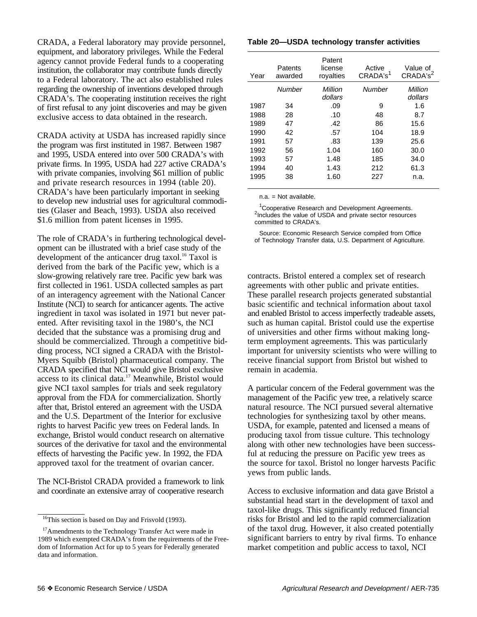CRADA, a Federal laboratory may provide personnel, equipment, and laboratory privileges. While the Federal agency cannot provide Federal funds to a cooperating institution, the collaborator may contribute funds directly to a Federal laboratory. The act also established rules regarding the ownership of inventions developed through CRADA's. The cooperating institution receives the right of first refusal to any joint discoveries and may be given exclusive access to data obtained in the research.

CRADA activity at USDA has increased rapidly since the program was first instituted in 1987. Between 1987 and 1995, USDA entered into over 500 CRADA's with private firms. In 1995, USDA had 227 active CRADA's with private companies, involving \$61 million of public and private research resources in 1994 (table 20). CRADA's have been particularly important in seeking to develop new industrial uses for agricultural commodities (Glaser and Beach, 1993). USDA also received \$1.6 million from patent licenses in 1995.

The role of CRADA's in furthering technological development can be illustrated with a brief case study of the development of the anticancer drug taxol.<sup>16</sup> Taxol is derived from the bark of the Pacific yew, which is a slow-growing relatively rare tree. Pacific yew bark was first collected in 1961. USDA collected samples as part of an interagency agreement with the National Cancer Institute (NCI) to search for anticancer agents. The active ingredient in taxol was isolated in 1971 but never patented. After revisiting taxol in the 1980's, the NCI decided that the substance was a promising drug and should be commercialized. Through a competitive bidding process, NCI signed a CRADA with the Bristol-Myers Squibb (Bristol) pharmaceutical company. The CRADA specified that NCI would give Bristol exclusive access to its clinical data.<sup>17</sup> Meanwhile, Bristol would give NCI taxol samples for trials and seek regulatory approval from the FDA for commercialization. Shortly after that, Bristol entered an agreement with the USDA and the U.S. Department of the Interior for exclusive rights to harvest Pacific yew trees on Federal lands. In exchange, Bristol would conduct research on alternative sources of the derivative for taxol and the environmental effects of harvesting the Pacific yew. In 1992, the FDA approved taxol for the treatment of ovarian cancer.

The NCI-Bristol CRADA provided a framework to link and coordinate an extensive array of cooperative research

### **Table 20—USDA technology transfer activities**

| Year | Patents<br>awarded | Patent<br>license<br>rovalties | Active<br>CRADA's <sup>1</sup> | Value of<br>CRADA's <sup>2</sup> |
|------|--------------------|--------------------------------|--------------------------------|----------------------------------|
|      | Number             | Million<br>dollars             | Number                         | Million<br>dollars               |
| 1987 | 34                 | .09                            | 9                              | 1.6                              |
| 1988 | 28                 | .10                            | 48                             | 8.7                              |
| 1989 | 47                 | .42                            | 86                             | 15.6                             |
| 1990 | 42                 | .57                            | 104                            | 18.9                             |
| 1991 | 57                 | .83                            | 139                            | 25.6                             |
| 1992 | 56                 | 1.04                           | 160                            | 30.0                             |
| 1993 | 57                 | 1.48                           | 185                            | 34.0                             |
| 1994 | 40                 | 1.43                           | 212                            | 61.3                             |
| 1995 | 38                 | 1.60                           | 227                            | n.a.                             |

n.a. = Not available.

<sup>1</sup> Cooperative Research and Development Agreements. <sup>2</sup>Includes the value of USDA and private sector resources committed to CRADA's.

Source: Economic Research Service compiled from Office of Technology Transfer data, U.S. Department of Agriculture.

contracts. Bristol entered a complex set of research agreements with other public and private entities. These parallel research projects generated substantial basic scientific and technical information about taxol and enabled Bristol to access imperfectly tradeable assets, such as human capital. Bristol could use the expertise of universities and other firms without making longterm employment agreements. This was particularly important for university scientists who were willing to receive financial support from Bristol but wished to remain in academia.

A particular concern of the Federal government was the management of the Pacific yew tree, a relatively scarce natural resource. The NCI pursued several alternative technologies for synthesizing taxol by other means. USDA, for example, patented and licensed a means of producing taxol from tissue culture. This technology along with other new technologies have been successful at reducing the pressure on Pacific yew trees as the source for taxol. Bristol no longer harvests Pacific yews from public lands.

Access to exclusive information and data gave Bristol a substantial head start in the development of taxol and taxol-like drugs. This significantly reduced financial risks for Bristol and led to the rapid commercialization of the taxol drug. However, it also created potentially significant barriers to entry by rival firms. To enhance market competition and public access to taxol, NCI

<sup>&</sup>lt;sup>16</sup>This section is based on Day and Frisvold (1993).

<sup>&</sup>lt;sup>17</sup>Amendments to the Technology Transfer Act were made in 1989 which exempted CRADA's from the requirements of the Freedom of Information Act for up to 5 years for Federally generated data and information.